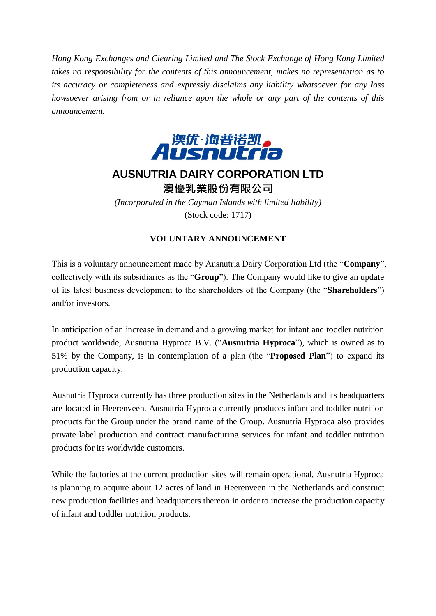*Hong Kong Exchanges and Clearing Limited and The Stock Exchange of Hong Kong Limited takes no responsibility for the contents of this announcement, makes no representation as to its accuracy or completeness and expressly disclaims any liability whatsoever for any loss howsoever arising from or in reliance upon the whole or any part of the contents of this announcement.*



## **AUSNUTRIA DAIRY CORPORATION LTD** 澳優乳業股份有限公司

*(Incorporated in the Cayman Islands with limited liability)* (Stock code: 1717)

## **VOLUNTARY ANNOUNCEMENT**

This is a voluntary announcement made by Ausnutria Dairy Corporation Ltd (the "**Company**", collectively with its subsidiaries as the "**Group**"). The Company would like to give an update of its latest business development to the shareholders of the Company (the "**Shareholders**") and/or investors.

In anticipation of an increase in demand and a growing market for infant and toddler nutrition product worldwide, Ausnutria Hyproca B.V. ("**Ausnutria Hyproca**"), which is owned as to 51% by the Company, is in contemplation of a plan (the "**Proposed Plan**") to expand its production capacity.

Ausnutria Hyproca currently has three production sites in the Netherlands and its headquarters are located in Heerenveen. Ausnutria Hyproca currently produces infant and toddler nutrition products for the Group under the brand name of the Group. Ausnutria Hyproca also provides private label production and contract manufacturing services for infant and toddler nutrition products for its worldwide customers.

While the factories at the current production sites will remain operational, Ausnutria Hyproca is planning to acquire about 12 acres of land in Heerenveen in the Netherlands and construct new production facilities and headquarters thereon in order to increase the production capacity of infant and toddler nutrition products.